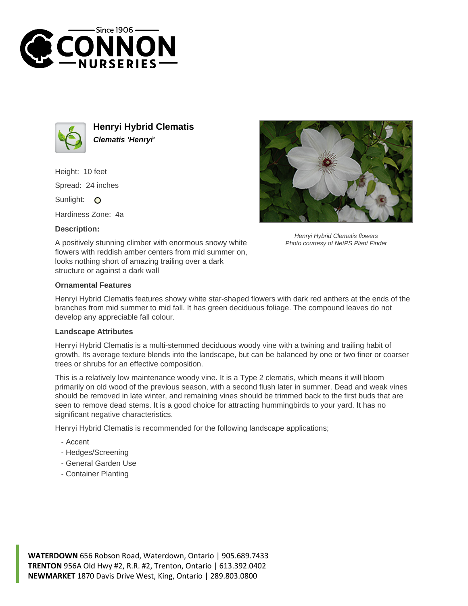



**Henryi Hybrid Clematis Clematis 'Henryi'**

Height: 10 feet Spread: 24 inches Sunlight: O

Hardiness Zone: 4a

## **Description:**



Henryi Hybrid Clematis flowers Photo courtesy of NetPS Plant Finder

A positively stunning climber with enormous snowy white flowers with reddish amber centers from mid summer on, looks nothing short of amazing trailing over a dark structure or against a dark wall

## **Ornamental Features**

Henryi Hybrid Clematis features showy white star-shaped flowers with dark red anthers at the ends of the branches from mid summer to mid fall. It has green deciduous foliage. The compound leaves do not develop any appreciable fall colour.

## **Landscape Attributes**

Henryi Hybrid Clematis is a multi-stemmed deciduous woody vine with a twining and trailing habit of growth. Its average texture blends into the landscape, but can be balanced by one or two finer or coarser trees or shrubs for an effective composition.

This is a relatively low maintenance woody vine. It is a Type 2 clematis, which means it will bloom primarily on old wood of the previous season, with a second flush later in summer. Dead and weak vines should be removed in late winter, and remaining vines should be trimmed back to the first buds that are seen to remove dead stems. It is a good choice for attracting hummingbirds to your yard. It has no significant negative characteristics.

Henryi Hybrid Clematis is recommended for the following landscape applications;

- Accent
- Hedges/Screening
- General Garden Use
- Container Planting

**WATERDOWN** 656 Robson Road, Waterdown, Ontario | 905.689.7433 **TRENTON** 956A Old Hwy #2, R.R. #2, Trenton, Ontario | 613.392.0402 **NEWMARKET** 1870 Davis Drive West, King, Ontario | 289.803.0800